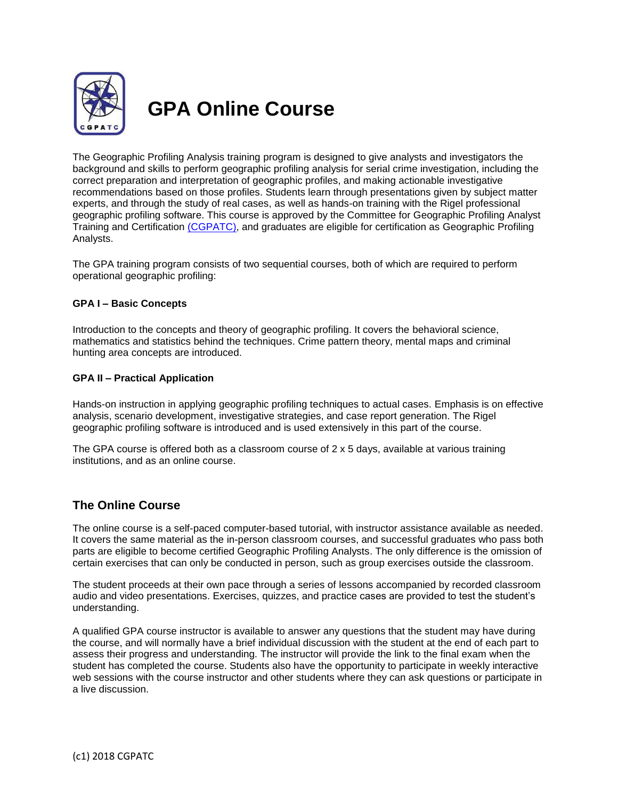

# **GPA Online Course**

The Geographic Profiling Analysis training program is designed to give analysts and investigators the background and skills to perform geographic profiling analysis for serial crime investigation, including the correct preparation and interpretation of geographic profiles, and making actionable investigative recommendations based on those profiles. Students learn through presentations given by subject matter experts, and through the study of real cases, as well as hands-on training with the Rigel professional geographic profiling software. This course is approved by the Committee for Geographic Profiling Analyst Training and Certification [\(CGPATC\),](http://www.cgpatc.org/) and graduates are eligible for certification as Geographic Profiling Analysts.

The GPA training program consists of two sequential courses, both of which are required to perform operational geographic profiling:

### **GPA I – Basic Concepts**

Introduction to the concepts and theory of geographic profiling. It covers the behavioral science, mathematics and statistics behind the techniques. Crime pattern theory, mental maps and criminal hunting area concepts are introduced.

### **GPA II – Practical Application**

Hands-on instruction in applying geographic profiling techniques to actual cases. Emphasis is on effective analysis, scenario development, investigative strategies, and case report generation. The Rigel geographic profiling software is introduced and is used extensively in this part of the course.

The GPA course is offered both as a classroom course of 2 x 5 days, available at various training institutions, and as an online course.

## **The Online Course**

The online course is a self-paced computer-based tutorial, with instructor assistance available as needed. It covers the same material as the in-person classroom courses, and successful graduates who pass both parts are eligible to become certified Geographic Profiling Analysts. The only difference is the omission of certain exercises that can only be conducted in person, such as group exercises outside the classroom.

The student proceeds at their own pace through a series of lessons accompanied by recorded classroom audio and video presentations. Exercises, quizzes, and practice cases are provided to test the student's understanding.

A qualified GPA course instructor is available to answer any questions that the student may have during the course, and will normally have a brief individual discussion with the student at the end of each part to assess their progress and understanding. The instructor will provide the link to the final exam when the student has completed the course. Students also have the opportunity to participate in weekly interactive web sessions with the course instructor and other students where they can ask questions or participate in a live discussion.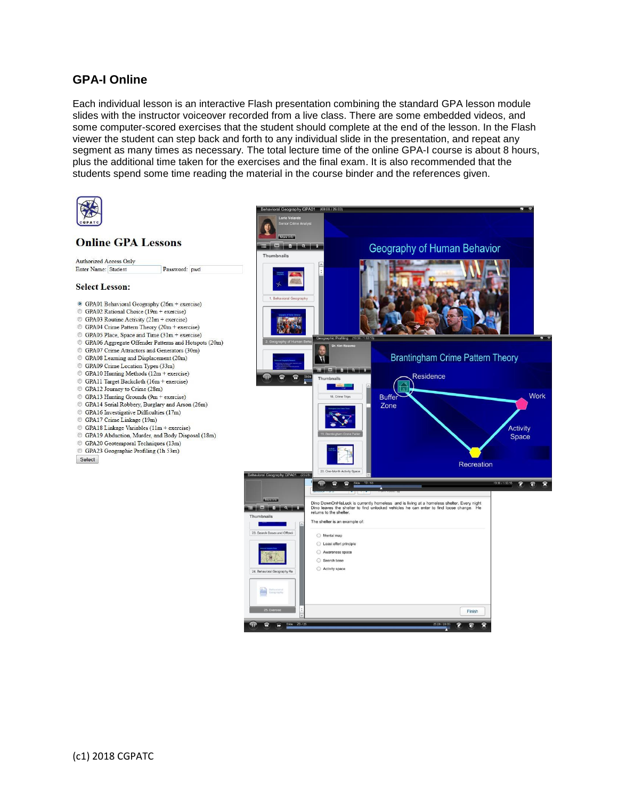# **GPA-I Online**

Each individual lesson is an interactive Flash presentation combining the standard GPA lesson module slides with the instructor voiceover recorded from a live class. There are some embedded videos, and some computer-scored exercises that the student should complete at the end of the lesson. In the Flash viewer the student can step back and forth to any individual slide in the presentation, and repeat any segment as many times as necessary. The total lecture time of the online GPA-I course is about 8 hours, plus the additional time taken for the exercises and the final exam. It is also recommended that the students spend some time reading the material in the course binder and the references given.

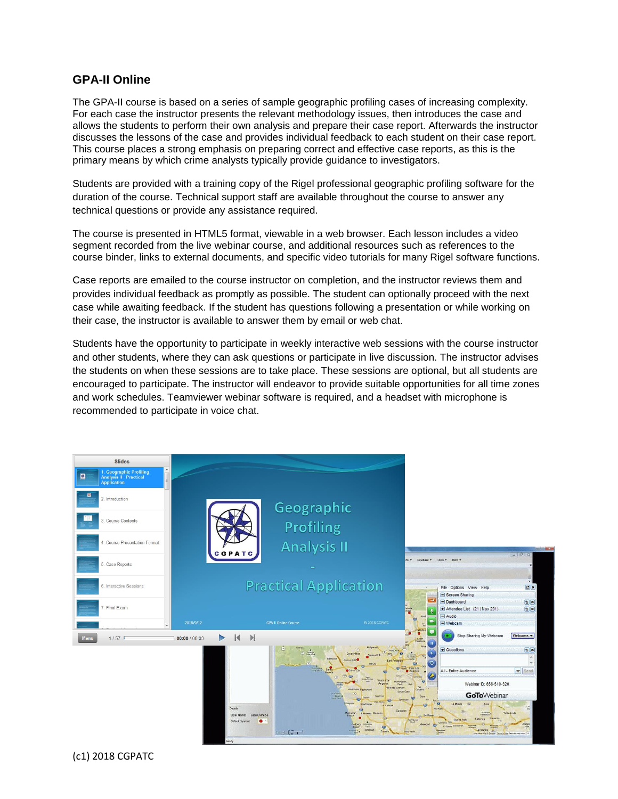## **GPA-II Online**

The GPA-II course is based on a series of sample geographic profiling cases of increasing complexity. For each case the instructor presents the relevant methodology issues, then introduces the case and allows the students to perform their own analysis and prepare their case report. Afterwards the instructor discusses the lessons of the case and provides individual feedback to each student on their case report. This course places a strong emphasis on preparing correct and effective case reports, as this is the primary means by which crime analysts typically provide guidance to investigators.

Students are provided with a training copy of the Rigel professional geographic profiling software for the duration of the course. Technical support staff are available throughout the course to answer any technical questions or provide any assistance required.

The course is presented in HTML5 format, viewable in a web browser. Each lesson includes a video segment recorded from the live webinar course, and additional resources such as references to the course binder, links to external documents, and specific video tutorials for many Rigel software functions.

Case reports are emailed to the course instructor on completion, and the instructor reviews them and provides individual feedback as promptly as possible. The student can optionally proceed with the next case while awaiting feedback. If the student has questions following a presentation or while working on their case, the instructor is available to answer them by email or web chat.

Students have the opportunity to participate in weekly interactive web sessions with the course instructor and other students, where they can ask questions or participate in live discussion. The instructor advises the students on when these sessions are to take place. These sessions are optional, but all students are encouraged to participate. The instructor will endeavor to provide suitable opportunities for all time zones and work schedules. Teamviewer webinar software is required, and a headset with microphone is recommended to participate in voice chat.